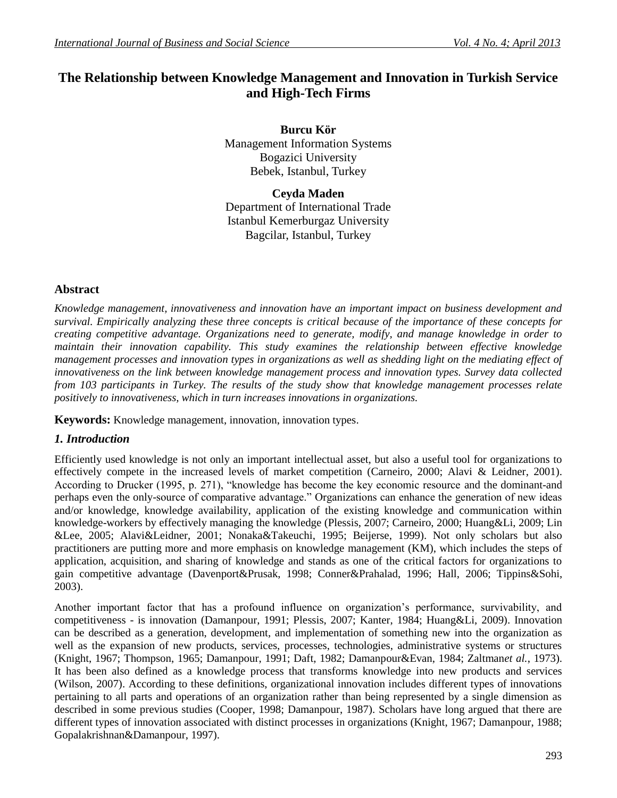# **The Relationship between Knowledge Management and Innovation in Turkish Service and High-Tech Firms**

**Burcu Kör** Management Information Systems Bogazici University Bebek, Istanbul, Turkey

**Ceyda Maden** Department of International Trade Istanbul Kemerburgaz University Bagcilar, Istanbul, Turkey

## **Abstract**

*Knowledge management, innovativeness and innovation have an important impact on business development and survival. Empirically analyzing these three concepts is critical because of the importance of these concepts for creating competitive advantage. Organizations need to generate, modify, and manage knowledge in order to maintain their innovation capability. This study examines the relationship between effective knowledge management processes and innovation types in organizations as well as shedding light on the mediating effect of innovativeness on the link between knowledge management process and innovation types. Survey data collected from 103 participants in Turkey. The results of the study show that knowledge management processes relate positively to innovativeness, which in turn increases innovations in organizations.*

**Keywords:** Knowledge management, innovation, innovation types.

#### *1. Introduction*

Efficiently used knowledge is not only an important intellectual asset, but also a useful tool for organizations to effectively compete in the increased levels of market competition (Carneiro, 2000; Alavi & Leidner, 2001). According to Drucker (1995, p. 271), "knowledge has become the key economic resource and the dominant-and perhaps even the only-source of comparative advantage." Organizations can enhance the generation of new ideas and/or knowledge, knowledge availability, application of the existing knowledge and communication within knowledge-workers by effectively managing the knowledge (Plessis, 2007; Carneiro, 2000; Huang&Li, 2009; Lin &Lee, 2005; Alavi&Leidner, 2001; Nonaka&Takeuchi, 1995; Beijerse, 1999). Not only scholars but also practitioners are putting more and more emphasis on knowledge management (KM), which includes the steps of application, acquisition, and sharing of knowledge and stands as one of the critical factors for organizations to gain competitive advantage (Davenport&Prusak, 1998; Conner&Prahalad, 1996; Hall, 2006; Tippins&Sohi, 2003).

Another important factor that has a profound influence on organization's performance, survivability, and competitiveness - is innovation (Damanpour, 1991; Plessis, 2007; Kanter, 1984; Huang&Li, 2009). Innovation can be described as a generation, development, and implementation of something new into the organization as well as the expansion of new products, services, processes, technologies, administrative systems or structures (Knight, 1967; Thompson, 1965; Damanpour, 1991; Daft, 1982; Damanpour&Evan, 1984; Zaltman*et al.*, 1973). It has been also defined as a knowledge process that transforms knowledge into new products and services (Wilson, 2007). According to these definitions, organizational innovation includes different types of innovations pertaining to all parts and operations of an organization rather than being represented by a single dimension as described in some previous studies (Cooper, 1998; Damanpour, 1987). Scholars have long argued that there are different types of innovation associated with distinct processes in organizations (Knight, 1967; Damanpour, 1988; Gopalakrishnan&Damanpour, 1997).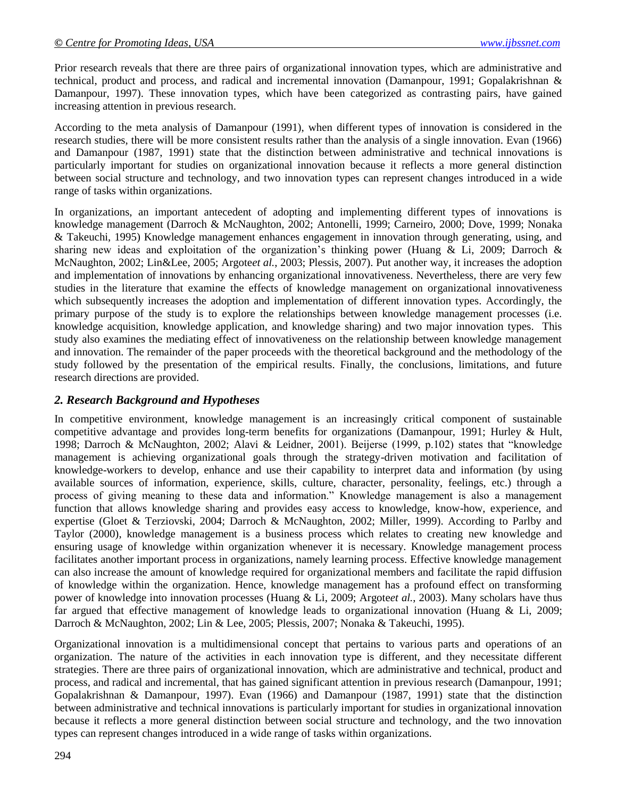Prior research reveals that there are three pairs of organizational innovation types, which are administrative and technical, product and process, and radical and incremental innovation (Damanpour, 1991; Gopalakrishnan & Damanpour, 1997). These innovation types, which have been categorized as contrasting pairs, have gained increasing attention in previous research.

According to the meta analysis of Damanpour (1991), when different types of innovation is considered in the research studies, there will be more consistent results rather than the analysis of a single innovation. Evan (1966) and Damanpour (1987, 1991) state that the distinction between administrative and technical innovations is particularly important for studies on organizational innovation because it reflects a more general distinction between social structure and technology, and two innovation types can represent changes introduced in a wide range of tasks within organizations.

In organizations, an important antecedent of adopting and implementing different types of innovations is knowledge management (Darroch & McNaughton, 2002; Antonelli, 1999; Carneiro, 2000; Dove, 1999; Nonaka & Takeuchi, 1995) Knowledge management enhances engagement in innovation through generating, using, and sharing new ideas and exploitation of the organization's thinking power (Huang & Li, 2009; Darroch & McNaughton, 2002; Lin&Lee, 2005; Argote*et al.*, 2003; Plessis, 2007). Put another way, it increases the adoption and implementation of innovations by enhancing organizational innovativeness. Nevertheless, there are very few studies in the literature that examine the effects of knowledge management on organizational innovativeness which subsequently increases the adoption and implementation of different innovation types. Accordingly, the primary purpose of the study is to explore the relationships between knowledge management processes (i.e. knowledge acquisition, knowledge application, and knowledge sharing) and two major innovation types. This study also examines the mediating effect of innovativeness on the relationship between knowledge management and innovation. The remainder of the paper proceeds with the theoretical background and the methodology of the study followed by the presentation of the empirical results. Finally, the conclusions, limitations, and future research directions are provided.

## *2. Research Background and Hypotheses*

In competitive environment, knowledge management is an increasingly critical component of sustainable competitive advantage and provides long-term benefits for organizations (Damanpour, 1991; Hurley & Hult, 1998; Darroch & McNaughton, 2002; Alavi & Leidner, 2001). Beijerse (1999, p.102) states that "knowledge management is achieving organizational goals through the strategy-driven motivation and facilitation of knowledge-workers to develop, enhance and use their capability to interpret data and information (by using available sources of information, experience, skills, culture, character, personality, feelings, etc.) through a process of giving meaning to these data and information." Knowledge management is also a management function that allows knowledge sharing and provides easy access to knowledge, know-how, experience, and expertise (Gloet & Terziovski, 2004; Darroch & McNaughton, 2002; Miller, 1999). According to Parlby and Taylor (2000), knowledge management is a business process which relates to creating new knowledge and ensuring usage of knowledge within organization whenever it is necessary. Knowledge management process facilitates another important process in organizations, namely learning process. Effective knowledge management can also increase the amount of knowledge required for organizational members and facilitate the rapid diffusion of knowledge within the organization. Hence, knowledge management has a profound effect on transforming power of knowledge into innovation processes (Huang & Li, 2009; Argote*et al.*, 2003). Many scholars have thus far argued that effective management of knowledge leads to organizational innovation (Huang & Li, 2009; Darroch & McNaughton, 2002; Lin & Lee, 2005; Plessis, 2007; Nonaka & Takeuchi, 1995).

Organizational innovation is a multidimensional concept that pertains to various parts and operations of an organization. The nature of the activities in each innovation type is different, and they necessitate different strategies. There are three pairs of organizational innovation, which are administrative and technical, product and process, and radical and incremental, that has gained significant attention in previous research (Damanpour, 1991; Gopalakrishnan & Damanpour, 1997). Evan (1966) and Damanpour (1987, 1991) state that the distinction between administrative and technical innovations is particularly important for studies in organizational innovation because it reflects a more general distinction between social structure and technology, and the two innovation types can represent changes introduced in a wide range of tasks within organizations.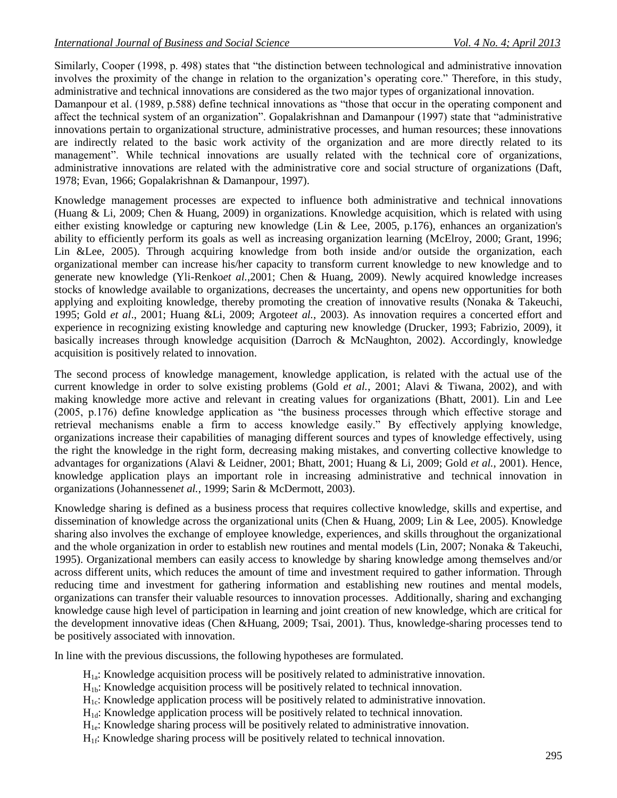Similarly, Cooper (1998, p. 498) states that "the distinction between technological and administrative innovation involves the proximity of the change in relation to the organization's operating core." Therefore, in this study, administrative and technical innovations are considered as the two major types of organizational innovation.

Damanpour et al. (1989, p.588) define technical innovations as "those that occur in the operating component and affect the technical system of an organization". Gopalakrishnan and Damanpour (1997) state that "administrative innovations pertain to organizational structure, administrative processes, and human resources; these innovations are indirectly related to the basic work activity of the organization and are more directly related to its management". While technical innovations are usually related with the technical core of organizations, administrative innovations are related with the administrative core and social structure of organizations (Daft, 1978; Evan, 1966; Gopalakrishnan & Damanpour, 1997).

Knowledge management processes are expected to influence both administrative and technical innovations (Huang & Li, 2009; Chen & Huang, 2009) in organizations. Knowledge acquisition, which is related with using either existing knowledge or capturing new knowledge (Lin & Lee, 2005, p.176), enhances an organization's ability to efficiently perform its goals as well as increasing organization learning (McElroy, 2000; Grant, 1996; Lin &Lee, 2005). Through acquiring knowledge from both inside and/or outside the organization, each organizational member can increase his/her capacity to transform current knowledge to new knowledge and to generate new knowledge (Yli-Renko*et al.*,2001; Chen & Huang, 2009). Newly acquired knowledge increases stocks of knowledge available to organizations, decreases the uncertainty, and opens new opportunities for both applying and exploiting knowledge, thereby promoting the creation of innovative results (Nonaka & Takeuchi, 1995; Gold *et al*., 2001; Huang &Li, 2009; Argote*et al.*, 2003). As innovation requires a concerted effort and experience in recognizing existing knowledge and capturing new knowledge (Drucker, 1993; Fabrizio, 2009), it basically increases through knowledge acquisition (Darroch & McNaughton, 2002). Accordingly, knowledge acquisition is positively related to innovation.

The second process of knowledge management, knowledge application, is related with the actual use of the current knowledge in order to solve existing problems (Gold *et al.*, 2001; Alavi & Tiwana, 2002), and with making knowledge more active and relevant in creating values for organizations (Bhatt, 2001). Lin and Lee  $(2005, p.176)$  define knowledge application as "the business processes through which effective storage and retrieval mechanisms enable a firm to access knowledge easily." By effectively applying knowledge, organizations increase their capabilities of managing different sources and types of knowledge effectively, using the right the knowledge in the right form, decreasing making mistakes, and converting collective knowledge to advantages for organizations (Alavi & Leidner, 2001; Bhatt, 2001; Huang & Li, 2009; Gold *et al.*, 2001). Hence, knowledge application plays an important role in increasing administrative and technical innovation in organizations (Johannessen*et al.*, 1999; Sarin & McDermott, 2003).

Knowledge sharing is defined as a business process that requires collective knowledge, skills and expertise, and dissemination of knowledge across the organizational units (Chen & Huang, 2009; Lin & Lee, 2005). Knowledge sharing also involves the exchange of employee knowledge, experiences, and skills throughout the organizational and the whole organization in order to establish new routines and mental models (Lin, 2007; Nonaka & Takeuchi, 1995). Organizational members can easily access to knowledge by sharing knowledge among themselves and/or across different units, which reduces the amount of time and investment required to gather information. Through reducing time and investment for gathering information and establishing new routines and mental models, organizations can transfer their valuable resources to innovation processes. Additionally, sharing and exchanging knowledge cause high level of participation in learning and joint creation of new knowledge, which are critical for the development innovative ideas (Chen &Huang, 2009; Tsai, 2001). Thus, knowledge-sharing processes tend to be positively associated with innovation.

In line with the previous discussions, the following hypotheses are formulated.

H1a: Knowledge acquisition process will be positively related to administrative innovation.

- H1b: Knowledge acquisition process will be positively related to technical innovation.
- $H<sub>1c</sub>$ : Knowledge application process will be positively related to administrative innovation.
- $H<sub>1d</sub>$ : Knowledge application process will be positively related to technical innovation.
- $H<sub>1e</sub>$ : Knowledge sharing process will be positively related to administrative innovation.
- H<sub>1f</sub>: Knowledge sharing process will be positively related to technical innovation.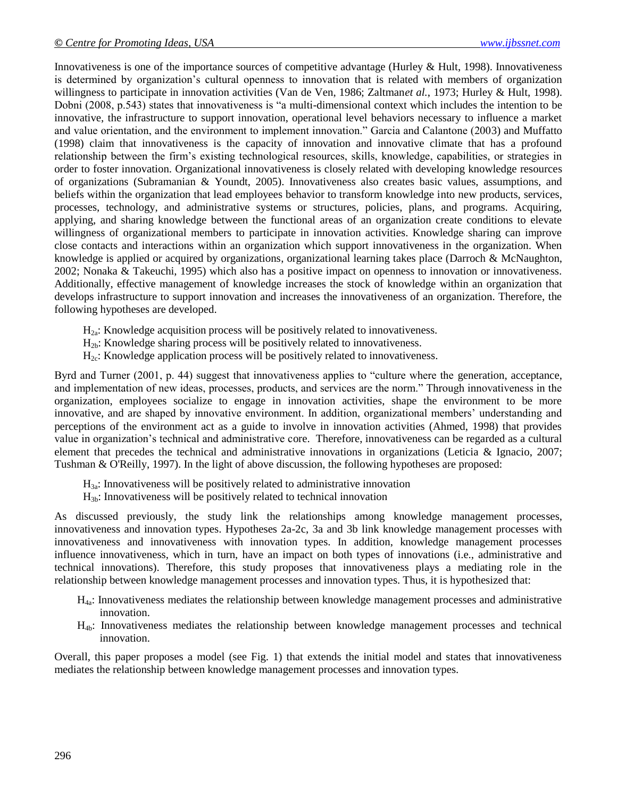Innovativeness is one of the importance sources of competitive advantage (Hurley & Hult, 1998). Innovativeness is determined by organization's cultural openness to innovation that is related with members of organization willingness to participate in innovation activities (Van de Ven, 1986; Zaltman*et al.*, 1973; Hurley & Hult, 1998). Dobni (2008, p.543) states that innovativeness is "a multi-dimensional context which includes the intention to be innovative, the infrastructure to support innovation, operational level behaviors necessary to influence a market and value orientation, and the environment to implement innovation." Garcia and Calantone (2003) and Muffatto (1998) claim that innovativeness is the capacity of innovation and innovative climate that has a profound relationship between the firm's existing technological resources, skills, knowledge, capabilities, or strategies in order to foster innovation. Organizational innovativeness is closely related with developing knowledge resources of organizations (Subramanian & Youndt, 2005). Innovativeness also creates basic values, assumptions, and beliefs within the organization that lead employees behavior to transform knowledge into new products, services, processes, technology, and administrative systems or structures, policies, plans, and programs. Acquiring, applying, and sharing knowledge between the functional areas of an organization create conditions to elevate willingness of organizational members to participate in innovation activities. Knowledge sharing can improve close contacts and interactions within an organization which support innovativeness in the organization. When knowledge is applied or acquired by organizations, organizational learning takes place (Darroch & McNaughton, 2002; Nonaka & Takeuchi, 1995) which also has a positive impact on openness to innovation or innovativeness. Additionally, effective management of knowledge increases the stock of knowledge within an organization that develops infrastructure to support innovation and increases the innovativeness of an organization. Therefore, the following hypotheses are developed.

- $H<sub>2a</sub>$ : Knowledge acquisition process will be positively related to innovativeness.
- $H_{2b}$ : Knowledge sharing process will be positively related to innovativeness.
- $H<sub>2c</sub>$ : Knowledge application process will be positively related to innovativeness.

Byrd and Turner (2001, p. 44) suggest that innovativeness applies to "culture where the generation, acceptance, and implementation of new ideas, processes, products, and services are the norm." Through innovativeness in the organization, employees socialize to engage in innovation activities, shape the environment to be more innovative, and are shaped by innovative environment. In addition, organizational members' understanding and perceptions of the environment act as a guide to involve in innovation activities (Ahmed, 1998) that provides value in organization's technical and administrative core. Therefore, innovativeness can be regarded as a cultural element that precedes the technical and administrative innovations in organizations (Leticia & Ignacio, 2007; Tushman & O'Reilly, 1997). In the light of above discussion, the following hypotheses are proposed:

- $H_{3a}$ : Innovativeness will be positively related to administrative innovation
- $H_{3b}$ : Innovativeness will be positively related to technical innovation

As discussed previously, the study link the relationships among knowledge management processes, innovativeness and innovation types. Hypotheses 2a-2c, 3a and 3b link knowledge management processes with innovativeness and innovativeness with innovation types. In addition, knowledge management processes influence innovativeness, which in turn, have an impact on both types of innovations (i.e., administrative and technical innovations). Therefore, this study proposes that innovativeness plays a mediating role in the relationship between knowledge management processes and innovation types. Thus, it is hypothesized that:

- H4a: Innovativeness mediates the relationship between knowledge management processes and administrative innovation.
- H4b: Innovativeness mediates the relationship between knowledge management processes and technical innovation.

Overall, this paper proposes a model (see Fig. 1) that extends the initial model and states that innovativeness mediates the relationship between knowledge management processes and innovation types.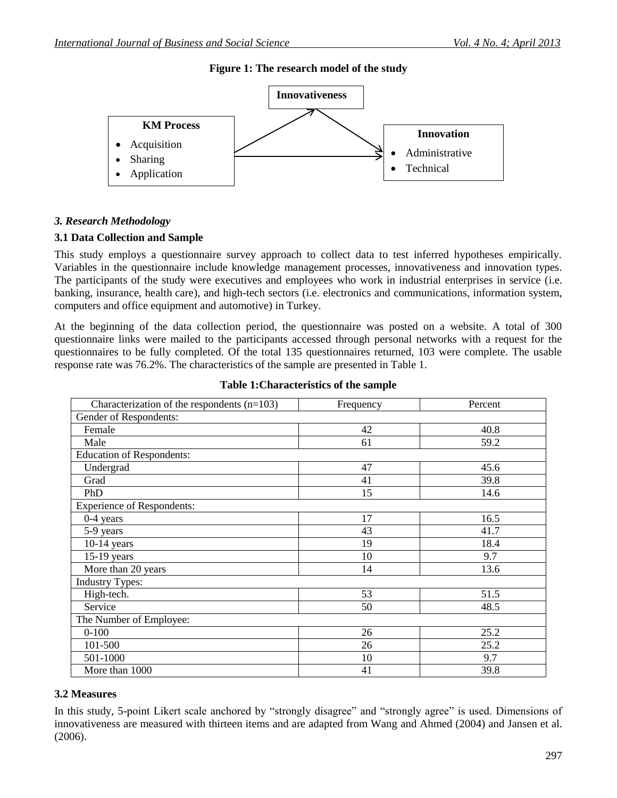**Figure 1: The research model of the study**



## *3. Research Methodology*

#### **3.1 Data Collection and Sample**

This study employs a questionnaire survey approach to collect data to test inferred hypotheses empirically. Variables in the questionnaire include knowledge management processes, innovativeness and innovation types. The participants of the study were executives and employees who work in industrial enterprises in service (i.e. banking, insurance, health care), and high-tech sectors (i.e. electronics and communications, information system, computers and office equipment and automotive) in Turkey.

At the beginning of the data collection period, the questionnaire was posted on a website. A total of 300 questionnaire links were mailed to the participants accessed through personal networks with a request for the questionnaires to be fully completed. Of the total 135 questionnaires returned, 103 were complete. The usable response rate was 76.2%. The characteristics of the sample are presented in Table 1.

| Characterization of the respondents $(n=103)$ | Frequency | Percent |  |  |  |
|-----------------------------------------------|-----------|---------|--|--|--|
| Gender of Respondents:                        |           |         |  |  |  |
| Female                                        | 42        | 40.8    |  |  |  |
| Male                                          | 61        | 59.2    |  |  |  |
| <b>Education of Respondents:</b>              |           |         |  |  |  |
| Undergrad                                     | 47        | 45.6    |  |  |  |
| Grad                                          | 41        | 39.8    |  |  |  |
| PhD                                           | 15        | 14.6    |  |  |  |
| <b>Experience of Respondents:</b>             |           |         |  |  |  |
| $0-4$ years                                   | 17        | 16.5    |  |  |  |
| 5-9 years                                     | 43        | 41.7    |  |  |  |
| $10-14$ years                                 | 19        | 18.4    |  |  |  |
| $15-19$ years                                 | 10        | 9.7     |  |  |  |
| More than 20 years                            | 14        | 13.6    |  |  |  |
| <b>Industry Types:</b>                        |           |         |  |  |  |
| High-tech.                                    | 53        | 51.5    |  |  |  |
| Service                                       | 50        | 48.5    |  |  |  |
| The Number of Employee:                       |           |         |  |  |  |
| $0 - 100$                                     | 26        | 25.2    |  |  |  |
| 101-500                                       | 26        | 25.2    |  |  |  |
| 501-1000                                      | 10        | 9.7     |  |  |  |
| More than 1000                                | 41        | 39.8    |  |  |  |

#### **Table 1:Characteristics of the sample**

#### **3.2 Measures**

In this study, 5-point Likert scale anchored by "strongly disagree" and "strongly agree" is used. Dimensions of innovativeness are measured with thirteen items and are adapted from Wang and Ahmed (2004) and Jansen et al. (2006).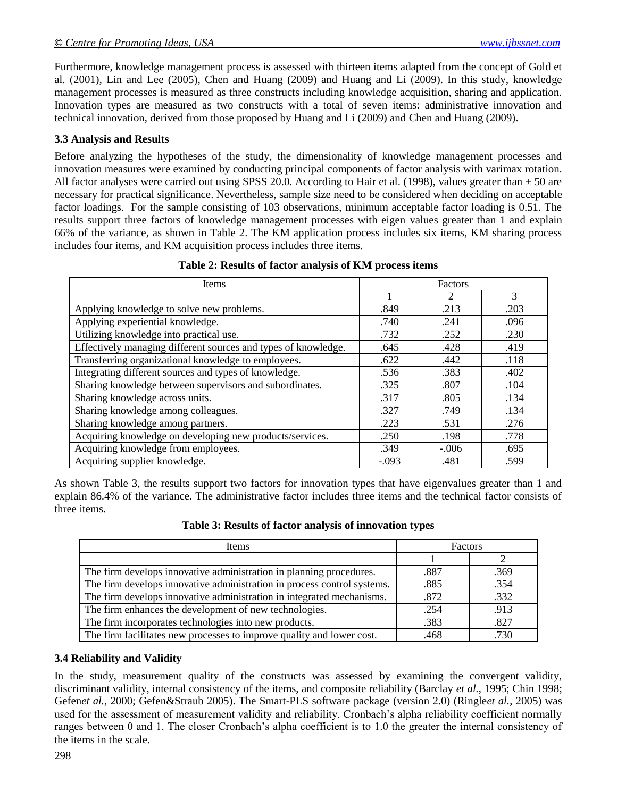Furthermore, knowledge management process is assessed with thirteen items adapted from the concept of Gold et al. (2001), Lin and Lee (2005), Chen and Huang (2009) and Huang and Li (2009). In this study, knowledge management processes is measured as three constructs including knowledge acquisition, sharing and application. Innovation types are measured as two constructs with a total of seven items: administrative innovation and technical innovation, derived from those proposed by Huang and Li (2009) and Chen and Huang (2009).

## **3.3 Analysis and Results**

Before analyzing the hypotheses of the study, the dimensionality of knowledge management processes and innovation measures were examined by conducting principal components of factor analysis with varimax rotation. All factor analyses were carried out using SPSS 20.0. According to Hair et al. (1998), values greater than  $\pm$  50 are necessary for practical significance. Nevertheless, sample size need to be considered when deciding on acceptable factor loadings. For the sample consisting of 103 observations, minimum acceptable factor loading is 0.51. The results support three factors of knowledge management processes with eigen values greater than 1 and explain 66% of the variance, as shown in Table 2. The KM application process includes six items, KM sharing process includes four items, and KM acquisition process includes three items.

| Items                                                          | Factors |         |      |
|----------------------------------------------------------------|---------|---------|------|
|                                                                |         | 2       | 3    |
| Applying knowledge to solve new problems.                      | .849    | .213    | .203 |
| Applying experiential knowledge.                               | .740    | .241    | .096 |
| Utilizing knowledge into practical use.                        | .732    | .252    | .230 |
| Effectively managing different sources and types of knowledge. | .645    | .428    | .419 |
| Transferring organizational knowledge to employees.            | .622    | .442    | .118 |
| Integrating different sources and types of knowledge.          | .536    | .383    | .402 |
| Sharing knowledge between supervisors and subordinates.        | .325    | .807    | .104 |
| Sharing knowledge across units.                                | .317    | .805    | .134 |
| Sharing knowledge among colleagues.                            | .327    | .749    | .134 |
| Sharing knowledge among partners.                              | .223    | .531    | .276 |
| Acquiring knowledge on developing new products/services.       | .250    | .198    | .778 |
| Acquiring knowledge from employees.                            | .349    | $-.006$ | .695 |
| Acquiring supplier knowledge.                                  | $-.093$ | .481    | .599 |

#### **Table 2: Results of factor analysis of KM process items**

As shown Table 3, the results support two factors for innovation types that have eigenvalues greater than 1 and explain 86.4% of the variance. The administrative factor includes three items and the technical factor consists of three items.

| <b>Items</b>                                                            | Factors |      |  |  |
|-------------------------------------------------------------------------|---------|------|--|--|
|                                                                         |         |      |  |  |
| The firm develops innovative administration in planning procedures.     | .887    | .369 |  |  |
| The firm develops innovative administration in process control systems. | .885    | .354 |  |  |
| The firm develops innovative administration in integrated mechanisms.   | .872    | .332 |  |  |
| The firm enhances the development of new technologies.                  | .254    | .913 |  |  |
| The firm incorporates technologies into new products.                   | .383    | .827 |  |  |
| The firm facilitates new processes to improve quality and lower cost.   | .468    | .730 |  |  |

**Table 3: Results of factor analysis of innovation types**

#### **3.4 Reliability and Validity**

In the study, measurement quality of the constructs was assessed by examining the convergent validity, discriminant validity, internal consistency of the items, and composite reliability (Barclay *et al.*, 1995; Chin 1998; Gefen*et al.*, 2000; Gefen&Straub 2005). The Smart-PLS software package (version 2.0) (Ringle*et al.*, 2005) was used for the assessment of measurement validity and reliability. Cronbach's alpha reliability coefficient normally ranges between 0 and 1. The closer Cronbach's alpha coefficient is to 1.0 the greater the internal consistency of the items in the scale.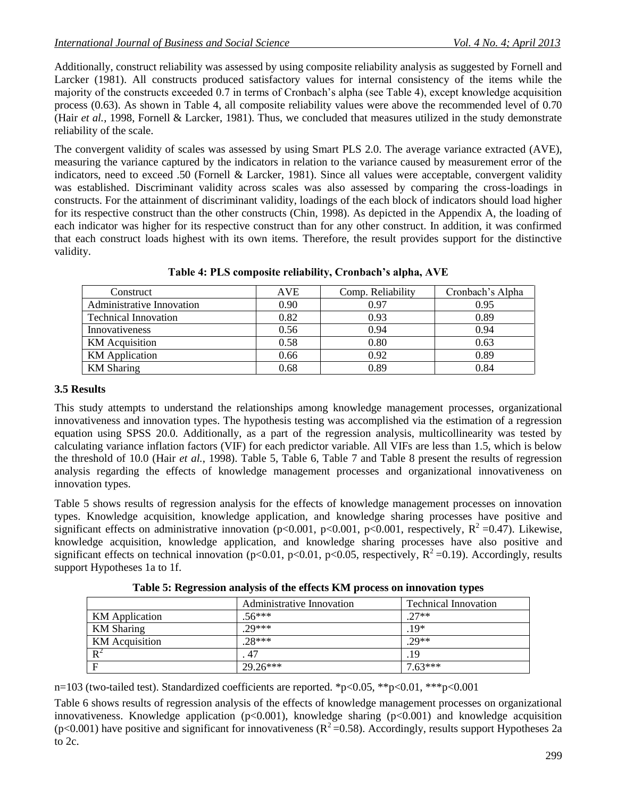Additionally, construct reliability was assessed by using composite reliability analysis as suggested by Fornell and Larcker (1981). All constructs produced satisfactory values for internal consistency of the items while the majority of the constructs exceeded 0.7 in terms of Cronbach's alpha (see Table 4), except knowledge acquisition process (0.63). As shown in Table 4, all composite reliability values were above the recommended level of 0.70 (Hair *et al.*, 1998, Fornell & Larcker, 1981). Thus, we concluded that measures utilized in the study demonstrate reliability of the scale.

The convergent validity of scales was assessed by using Smart PLS 2.0. The average variance extracted (AVE), measuring the variance captured by the indicators in relation to the variance caused by measurement error of the indicators, need to exceed .50 (Fornell & Larcker, 1981). Since all values were acceptable, convergent validity was established. Discriminant validity across scales was also assessed by comparing the cross-loadings in constructs. For the attainment of discriminant validity, loadings of the each block of indicators should load higher for its respective construct than the other constructs (Chin, 1998). As depicted in the Appendix A, the loading of each indicator was higher for its respective construct than for any other construct. In addition, it was confirmed that each construct loads highest with its own items. Therefore, the result provides support for the distinctive validity.

| Construct                   | <b>AVE</b> | Comp. Reliability | Cronbach's Alpha |
|-----------------------------|------------|-------------------|------------------|
| Administrative Innovation   | 0.90       | 0.97              | 0.95             |
| <b>Technical Innovation</b> | 0.82       | 0.93              | 0.89             |
| Innovativeness              | 0.56       | 0.94              | 0.94             |
| <b>KM</b> Acquisition       | 0.58       | 0.80              | 0.63             |
| <b>KM</b> Application       | 0.66       | 0.92              | 0.89             |
| <b>KM</b> Sharing           | 0.68       | 0.89              | 0.84             |

**Table 4: PLS composite reliability, Cronbach's alpha, AVE**

## **3.5 Results**

This study attempts to understand the relationships among knowledge management processes, organizational innovativeness and innovation types. The hypothesis testing was accomplished via the estimation of a regression equation using SPSS 20.0. Additionally, as a part of the regression analysis, multicollinearity was tested by calculating variance inflation factors (VIF) for each predictor variable. All VIFs are less than 1.5, which is below the threshold of 10.0 (Hair *et al.*, 1998). Table 5, Table 6, Table 7 and Table 8 present the results of regression analysis regarding the effects of knowledge management processes and organizational innovativeness on innovation types.

Table 5 shows results of regression analysis for the effects of knowledge management processes on innovation types. Knowledge acquisition, knowledge application, and knowledge sharing processes have positive and significant effects on administrative innovation (p<0.001, p<0.001, p<0.001, respectively,  $R^2 = 0.47$ ). Likewise, knowledge acquisition, knowledge application, and knowledge sharing processes have also positive and significant effects on technical innovation (p<0.01, p<0.01, p<0.05, respectively,  $R^2$ =0.19). Accordingly, results support Hypotheses 1a to 1f.

**Table 5: Regression analysis of the effects KM process on innovation types**

|                   | Administrative Innovation | <b>Technical Innovation</b> |
|-------------------|---------------------------|-----------------------------|
| KM Application    | $.56***$                  | $27**$                      |
| <b>KM</b> Sharing | $29***$                   | $.19*$                      |
| KM Acquisition    | $.28***$                  | $.29**$                     |
| $R^2$             | 47                        | .19                         |
| F                 | $29.26***$                | $7.63***$                   |

n=103 (two-tailed test). Standardized coefficients are reported. \*p<0.05, \*\*p<0.01, \*\*\*p<0.001

Table 6 shows results of regression analysis of the effects of knowledge management processes on organizational innovativeness. Knowledge application  $(p<0.001)$ , knowledge sharing  $(p<0.001)$  and knowledge acquisition (p<0.001) have positive and significant for innovativeness ( $R^2$ =0.58). Accordingly, results support Hypotheses 2a to 2c.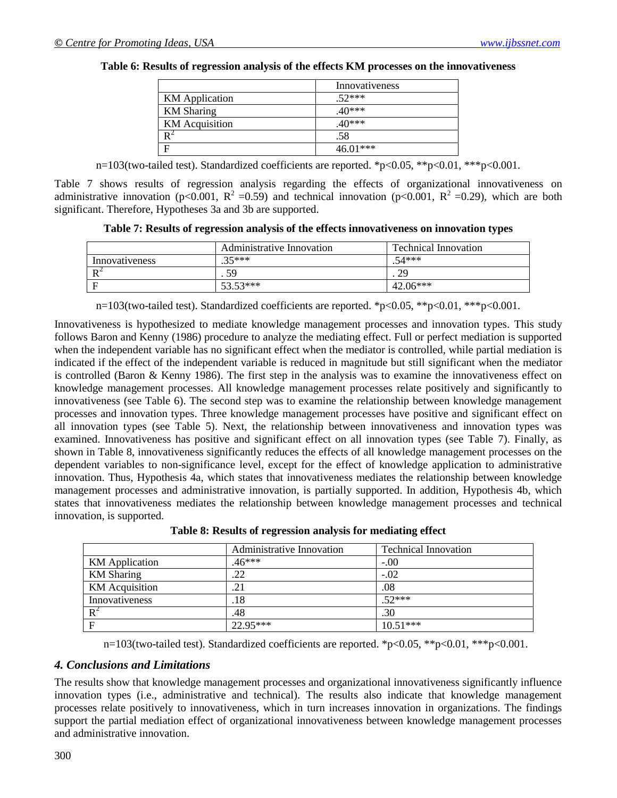## **Table 6: Results of regression analysis of the effects KM processes on the innovativeness**

|                       | Innovativeness |
|-----------------------|----------------|
| <b>KM</b> Application | $.52***$       |
| <b>KM</b> Sharing     | $.40***$       |
| <b>KM</b> Acquisition | .40***         |
|                       | .58            |
|                       | $46.01***$     |

n=103(two-tailed test). Standardized coefficients are reported. \*p<0.05, \*\*p<0.01, \*\*\*p<0.001.

Table 7 shows results of regression analysis regarding the effects of organizational innovativeness on administrative innovation (p<0.001,  $R^2 = 0.59$ ) and technical innovation (p<0.001,  $R^2 = 0.29$ ), which are both significant. Therefore, Hypotheses 3a and 3b are supported.

**Table 7: Results of regression analysis of the effects innovativeness on innovation types**

|                       | Administrative Innovation | <b>Technical Innovation</b> |
|-----------------------|---------------------------|-----------------------------|
| Innovativeness        | $35***$                   | $.54***$                    |
| $\mathbf{P}^{\prime}$ | 59                        | 29                          |
| - F                   | $53.53***$                | $42.06***$                  |

n=103(two-tailed test). Standardized coefficients are reported. \*p<0.05, \*\*p<0.01, \*\*\*p<0.001.

Innovativeness is hypothesized to mediate knowledge management processes and innovation types. This study follows Baron and Kenny (1986) procedure to analyze the mediating effect. Full or perfect mediation is supported when the independent variable has no significant effect when the mediator is controlled, while partial mediation is indicated if the effect of the independent variable is reduced in magnitude but still significant when the mediator is controlled (Baron & Kenny 1986). The first step in the analysis was to examine the innovativeness effect on knowledge management processes. All knowledge management processes relate positively and significantly to innovativeness (see Table 6). The second step was to examine the relationship between knowledge management processes and innovation types. Three knowledge management processes have positive and significant effect on all innovation types (see Table 5). Next, the relationship between innovativeness and innovation types was examined. Innovativeness has positive and significant effect on all innovation types (see Table 7). Finally, as shown in Table 8, innovativeness significantly reduces the effects of all knowledge management processes on the dependent variables to non-significance level, except for the effect of knowledge application to administrative innovation. Thus, Hypothesis 4a, which states that innovativeness mediates the relationship between knowledge management processes and administrative innovation, is partially supported. In addition, Hypothesis 4b, which states that innovativeness mediates the relationship between knowledge management processes and technical innovation, is supported.

|                       | <b>Administrative Innovation</b> | <b>Technical Innovation</b> |
|-----------------------|----------------------------------|-----------------------------|
| <b>KM</b> Application | $.46***$                         | $-.00$                      |
| <b>KM</b> Sharing     | .22                              | $-.02$                      |
| <b>KM</b> Acquisition | .21                              | .08                         |
| Innovativeness        | .18                              | $.52***$                    |
| $R^2$                 | .48                              | .30                         |
| $\mathbf F$           | 22.95***                         | $10.51***$                  |

**Table 8: Results of regression analysis for mediating effect**

n=103(two-tailed test). Standardized coefficients are reported. \*p<0.05, \*\*p<0.01, \*\*\*p<0.001.

## *4. Conclusions and Limitations*

The results show that knowledge management processes and organizational innovativeness significantly influence innovation types (i.e., administrative and technical). The results also indicate that knowledge management processes relate positively to innovativeness, which in turn increases innovation in organizations. The findings support the partial mediation effect of organizational innovativeness between knowledge management processes and administrative innovation.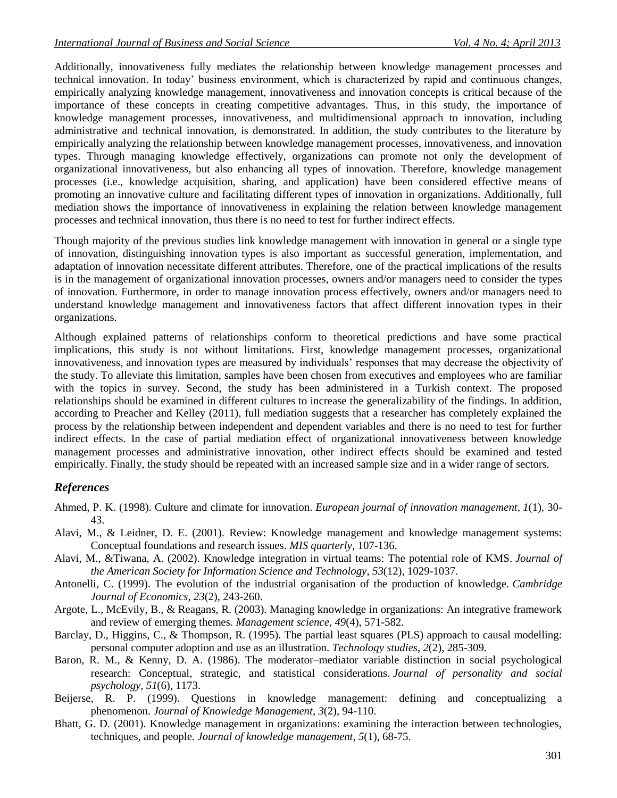Additionally, innovativeness fully mediates the relationship between knowledge management processes and technical innovation. In today' business environment, which is characterized by rapid and continuous changes, empirically analyzing knowledge management, innovativeness and innovation concepts is critical because of the importance of these concepts in creating competitive advantages. Thus, in this study, the importance of knowledge management processes, innovativeness, and multidimensional approach to innovation, including administrative and technical innovation, is demonstrated. In addition, the study contributes to the literature by empirically analyzing the relationship between knowledge management processes, innovativeness, and innovation types. Through managing knowledge effectively, organizations can promote not only the development of organizational innovativeness, but also enhancing all types of innovation. Therefore, knowledge management processes (i.e., knowledge acquisition, sharing, and application) have been considered effective means of promoting an innovative culture and facilitating different types of innovation in organizations. Additionally, full mediation shows the importance of innovativeness in explaining the relation between knowledge management processes and technical innovation, thus there is no need to test for further indirect effects.

Though majority of the previous studies link knowledge management with innovation in general or a single type of innovation, distinguishing innovation types is also important as successful generation, implementation, and adaptation of innovation necessitate different attributes. Therefore, one of the practical implications of the results is in the management of organizational innovation processes, owners and/or managers need to consider the types of innovation. Furthermore, in order to manage innovation process effectively, owners and/or managers need to understand knowledge management and innovativeness factors that affect different innovation types in their organizations.

Although explained patterns of relationships conform to theoretical predictions and have some practical implications, this study is not without limitations. First, knowledge management processes, organizational innovativeness, and innovation types are measured by individuals' responses that may decrease the objectivity of the study. To alleviate this limitation, samples have been chosen from executives and employees who are familiar with the topics in survey. Second, the study has been administered in a Turkish context. The proposed relationships should be examined in different cultures to increase the generalizability of the findings. In addition, according to Preacher and Kelley (2011), full mediation suggests that a researcher has completely explained the process by the relationship between independent and dependent variables and there is no need to test for further indirect effects. In the case of partial mediation effect of organizational innovativeness between knowledge management processes and administrative innovation, other indirect effects should be examined and tested empirically. Finally, the study should be repeated with an increased sample size and in a wider range of sectors.

## *References*

- Ahmed, P. K. (1998). Culture and climate for innovation. *European journal of innovation management*, *1*(1), 30- 43.
- Alavi, M., & Leidner, D. E. (2001). Review: Knowledge management and knowledge management systems: Conceptual foundations and research issues. *MIS quarterly*, 107-136.
- Alavi, M., &Tiwana, A. (2002). Knowledge integration in virtual teams: The potential role of KMS. *Journal of the American Society for Information Science and Technology*, *53*(12), 1029-1037.
- Antonelli, C. (1999). The evolution of the industrial organisation of the production of knowledge. *Cambridge Journal of Economics*, *23*(2), 243-260.
- Argote, L., McEvily, B., & Reagans, R. (2003). Managing knowledge in organizations: An integrative framework and review of emerging themes. *Management science*, *49*(4), 571-582.
- Barclay, D., Higgins, C., & Thompson, R. (1995). The partial least squares (PLS) approach to causal modelling: personal computer adoption and use as an illustration. *Technology studies*, *2*(2), 285-309.
- Baron, R. M., & Kenny, D. A. (1986). The moderator–mediator variable distinction in social psychological research: Conceptual, strategic, and statistical considerations. *Journal of personality and social psychology*, *51*(6), 1173.
- Beijerse, R. P. (1999). Questions in knowledge management: defining and conceptualizing a phenomenon. *Journal of Knowledge Management*, *3*(2), 94-110.
- Bhatt, G. D. (2001). Knowledge management in organizations: examining the interaction between technologies, techniques, and people. *Journal of knowledge management*, *5*(1), 68-75.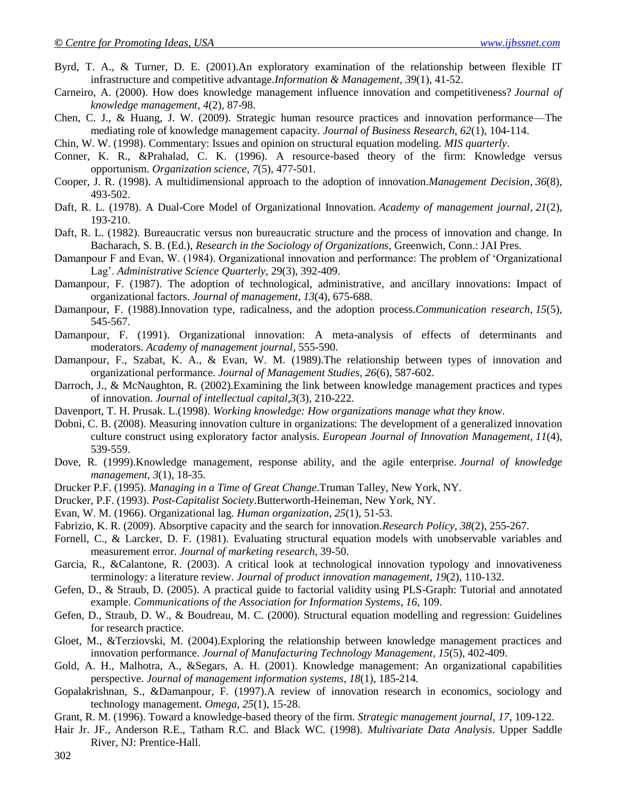- Byrd, T. A., & Turner, D. E. (2001).An exploratory examination of the relationship between flexible IT infrastructure and competitive advantage.*Information & Management*, *39*(1), 41-52.
- Carneiro, A. (2000). How does knowledge management influence innovation and competitiveness? *Journal of knowledge management*, *4*(2), 87-98.
- Chen, C. J., & Huang, J. W. (2009). Strategic human resource practices and innovation performance—The mediating role of knowledge management capacity. *Journal of Business Research*, *62*(1), 104-114.
- Chin, W. W. (1998). Commentary: Issues and opinion on structural equation modeling. *MIS quarterly*.
- Conner, K. R., &Prahalad, C. K. (1996). A resource-based theory of the firm: Knowledge versus opportunism. *Organization science*, *7*(5), 477-501.
- Cooper, J. R. (1998). A multidimensional approach to the adoption of innovation.*Management Decision*, *36*(8), 493-502.
- Daft, R. L. (1978). A Dual-Core Model of Organizational Innovation. *Academy of management journal*, *21*(2), 193-210.
- Daft, R. L. (1982). Bureaucratic versus non bureaucratic structure and the process of innovation and change. In Bacharach, S. B. (Ed.), *Research in the Sociology of Organizations*, Greenwich, Conn.: JAI Pres.
- Damanpour F and Evan, W. (1984). Organizational innovation and performance: The problem of 'Organizational Lag'. *Administrative Science Quarterly*, 29(3), 392-409.
- Damanpour, F. (1987). The adoption of technological, administrative, and ancillary innovations: Impact of organizational factors. *Journal of management*, *13*(4), 675-688.
- Damanpour, F. (1988).Innovation type, radicalness, and the adoption process.*Communication research*, *15*(5), 545-567.
- Damanpour, F. (1991). Organizational innovation: A meta-analysis of effects of determinants and moderators. *Academy of management journal*, 555-590.
- Damanpour, F., Szabat, K. A., & Evan, W. M. (1989).The relationship between types of innovation and organizational performance. *Journal of Management Studies*, *26*(6), 587-602.
- Darroch, J., & McNaughton, R. (2002).Examining the link between knowledge management practices and types of innovation. *Journal of intellectual capital*,*3*(3), 210-222.
- Davenport, T. H. Prusak. L.(1998). *Working knowledge: How organizations manage what they know*.
- Dobni, C. B. (2008). Measuring innovation culture in organizations: The development of a generalized innovation culture construct using exploratory factor analysis. *European Journal of Innovation Management*, *11*(4), 539-559.
- Dove, R. (1999).Knowledge management, response ability, and the agile enterprise. *Journal of knowledge management*, *3*(1), 18-35.
- Drucker P.F. (1995)*. Managing in a Time of Great Change*.Truman Talley, New York, NY.
- Drucker, P.F. (1993). *Post-Capitalist Society*.Butterworth-Heineman, New York, NY.
- Evan, W. M. (1966). Organizational lag. *Human organization*, *25*(1), 51-53.
- Fabrizio, K. R. (2009). Absorptive capacity and the search for innovation.*Research Policy*, *38*(2), 255-267.
- Fornell, C., & Larcker, D. F. (1981). Evaluating structural equation models with unobservable variables and measurement error. *Journal of marketing research*, 39-50.
- Garcia, R., &Calantone, R. (2003). A critical look at technological innovation typology and innovativeness terminology: a literature review. *Journal of product innovation management*, *19*(2), 110-132.
- Gefen, D., & Straub, D. (2005). A practical guide to factorial validity using PLS-Graph: Tutorial and annotated example. *Communications of the Association for Information Systems*, *16*, 109.
- Gefen, D., Straub, D. W., & Boudreau, M. C. (2000). Structural equation modelling and regression: Guidelines for research practice.
- Gloet, M., &Terziovski, M. (2004).Exploring the relationship between knowledge management practices and innovation performance. *Journal of Manufacturing Technology Management*, *15*(5), 402-409.
- Gold, A. H., Malhotra, A., &Segars, A. H. (2001). Knowledge management: An organizational capabilities perspective. *Journal of management information systems*, *18*(1), 185-214.
- Gopalakrishnan, S., &Damanpour, F. (1997).A review of innovation research in economics, sociology and technology management. *Omega*, *25*(1), 15-28.
- Grant, R. M. (1996). Toward a knowledge-based theory of the firm. *Strategic management journal*, *17*, 109-122.
- Hair Jr. JF., Anderson R.E., Tatham R.C. and Black WC. (1998). *Multivariate Data Analysis*. Upper Saddle River, NJ: Prentice-Hall.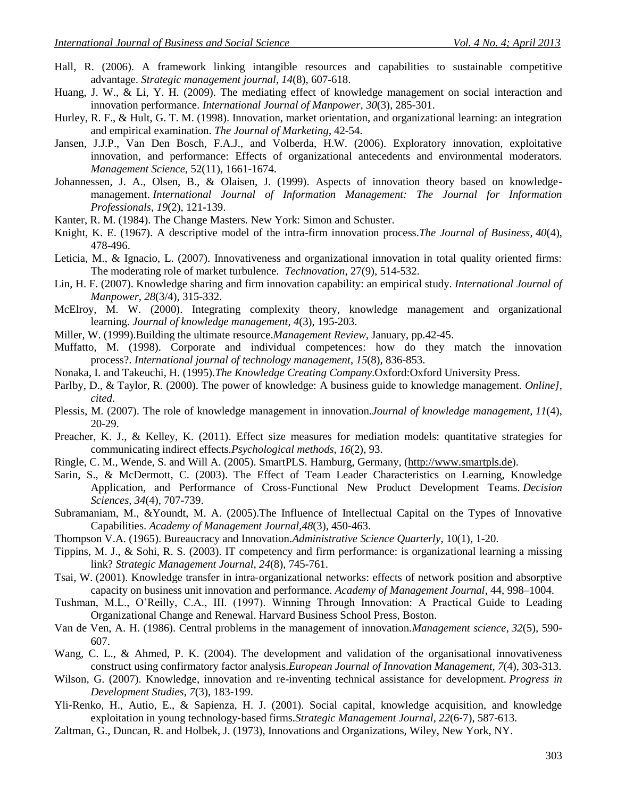- Hall, R. (2006). A framework linking intangible resources and capabilities to sustainable competitive advantage. *Strategic management journal*, *14*(8), 607-618.
- Huang, J. W., & Li, Y. H. (2009). The mediating effect of knowledge management on social interaction and innovation performance. *International Journal of Manpower*, *30*(3), 285-301.
- Hurley, R. F., & Hult, G. T. M. (1998). Innovation, market orientation, and organizational learning: an integration and empirical examination. *The Journal of Marketing*, 42-54.
- Jansen, J.J.P., Van Den Bosch, F.A.J., and Volberda, H.W. (2006). Exploratory innovation, exploitative innovation, and performance: Effects of organizational antecedents and environmental moderators. *Management Science*, 52(11), 1661-1674.
- Johannessen, J. A., Olsen, B., & Olaisen, J. (1999). Aspects of innovation theory based on knowledgemanagement. *International Journal of Information Management: The Journal for Information Professionals*, *19*(2), 121-139.
- Kanter, R. M. (1984). The Change Masters. New York: Simon and Schuster.
- Knight, K. E. (1967). A descriptive model of the intra-firm innovation process.*The Journal of Business*, *40*(4), 478-496.
- Leticia, M., & Ignacio, L. (2007). Innovativeness and organizational innovation in total quality oriented firms: The moderating role of market turbulence. *Technovation*, 27(9), 514-532.
- Lin, H. F. (2007). Knowledge sharing and firm innovation capability: an empirical study. *International Journal of Manpower*, *28*(3/4), 315-332.
- McElroy, M. W. (2000). Integrating complexity theory, knowledge management and organizational learning. *Journal of knowledge management*, *4*(3), 195-203.
- Miller, W. (1999).Building the ultimate resource.*Management Review*, January, pp.42-45.
- Muffatto, M. (1998). Corporate and individual competences: how do they match the innovation process?. *International journal of technology management*, *15*(8), 836-853.
- Nonaka, I. and Takeuchi, H. (1995).*The Knowledge Creating Company*.Oxford:Oxford University Press.
- Parlby, D., & Taylor, R. (2000). The power of knowledge: A business guide to knowledge management. *Online], cited*.
- Plessis, M. (2007). The role of knowledge management in innovation.*Journal of knowledge management*, *11*(4), 20-29.
- Preacher, K. J., & Kelley, K. (2011). Effect size measures for mediation models: quantitative strategies for communicating indirect effects.*Psychological methods*, *16*(2), 93.
- Ringle, C. M., Wende, S. and Will A. (2005). SmartPLS. Hamburg, Germany, [\(http://www.smartpls.de\)](http://www.smartpls.de/).
- Sarin, S., & McDermott, C. (2003). The Effect of Team Leader Characteristics on Learning, Knowledge Application, and Performance of Cross‐Functional New Product Development Teams. *Decision Sciences*, *34*(4), 707-739.
- Subramaniam, M., &Youndt, M. A. (2005).The Influence of Intellectual Capital on the Types of Innovative Capabilities. *Academy of Management Journal*,*48*(3), 450-463.
- Thompson V.A. (1965). Bureaucracy and Innovation.*Administrative Science Quarterly*, 10(1), 1-20.
- Tippins, M. J., & Sohi, R. S. (2003). IT competency and firm performance: is organizational learning a missing link? *Strategic Management Journal*, *24*(8), 745-761.
- Tsai, W. (2001). Knowledge transfer in intra‐organizational networks: effects of network position and absorptive capacity on business unit innovation and performance. *Academy of Management Journal*, 44, 998–1004.
- Tushman, M.L., O'Reilly, C.A., III. (1997). Winning Through Innovation: A Practical Guide to Leading Organizational Change and Renewal. Harvard Business School Press, Boston.
- Van de Ven, A. H. (1986). Central problems in the management of innovation.*Management science*, *32*(5), 590- 607.
- Wang, C. L., & Ahmed, P. K. (2004). The development and validation of the organisational innovativeness construct using confirmatory factor analysis.*European Journal of Innovation Management*, *7*(4), 303-313.
- Wilson, G. (2007). Knowledge, innovation and re-inventing technical assistance for development. *Progress in Development Studies*, *7*(3), 183-199.
- Yli‐Renko, H., Autio, E., & Sapienza, H. J. (2001). Social capital, knowledge acquisition, and knowledge exploitation in young technology‐based firms.*Strategic Management Journal*, *22*(6‐7), 587-613.
- Zaltman, G., Duncan, R. and Holbek, J. (1973), Innovations and Organizations, Wiley, New York, NY.